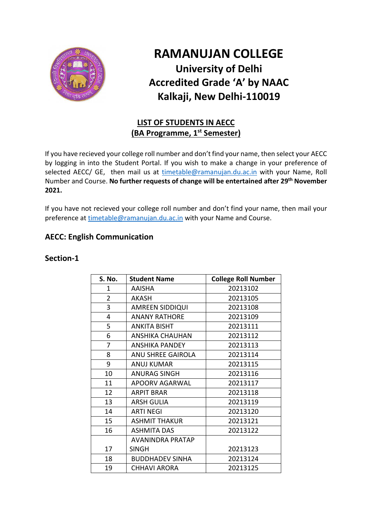

# **RAMANUJAN COLLEGE University of Delhi Accredited Grade 'A' by NAAC Kalkaji, New Delhi-110019**

## **LIST OF STUDENTS IN AECC (BA Programme, 1st Semester)**

If you have recieved your college roll number and don't find your name, then select your AECC by logging in into the Student Portal. If you wish to make a change in your preference of selected AECC/ GE, then mail us at [timetable@ramanujan.du.ac.in](mailto:timetable@ramanujan.du.ac.in) with your Name, Roll Number and Course. **No further requests of change will be entertained after 29th November 2021.**

If you have not recieved your college roll number and don't find your name, then mail your preference at [timetable@ramanujan.du.ac.in](mailto:timetable@ramanujan.du.ac.in) with your Name and Course.

### **AECC: English Communication**

#### **Section-1**

| S. No.         | <b>Student Name</b>     | <b>College Roll Number</b> |
|----------------|-------------------------|----------------------------|
| 1              | <b>AAISHA</b>           | 20213102                   |
| $\overline{2}$ | <b>AKASH</b>            | 20213105                   |
| 3              | <b>AMREEN SIDDIQUI</b>  | 20213108                   |
| 4              | <b>ANANY RATHORE</b>    | 20213109                   |
| 5              | <b>ANKITA BISHT</b>     | 20213111                   |
| 6              | <b>ANSHIKA CHAUHAN</b>  | 20213112                   |
| 7              | <b>ANSHIKA PANDEY</b>   | 20213113                   |
| 8              | ANU SHREE GAIROLA       | 20213114                   |
| 9              | <b>ANUJ KUMAR</b>       | 20213115                   |
| 10             | <b>ANURAG SINGH</b>     | 20213116                   |
| 11             | APOORV AGARWAL          | 20213117                   |
| 12             | <b>ARPIT BRAR</b>       | 20213118                   |
| 13             | <b>ARSH GULIA</b>       | 20213119                   |
| 14             | <b>ARTI NEGI</b>        | 20213120                   |
| 15             | <b>ASHMIT THAKUR</b>    | 20213121                   |
| 16             | <b>ASHMITA DAS</b>      | 20213122                   |
|                | <b>AVANINDRA PRATAP</b> |                            |
| 17             | <b>SINGH</b>            | 20213123                   |
| 18             | <b>BUDDHADEV SINHA</b>  | 20213124                   |
| 19             | <b>CHHAVI ARORA</b>     | 20213125                   |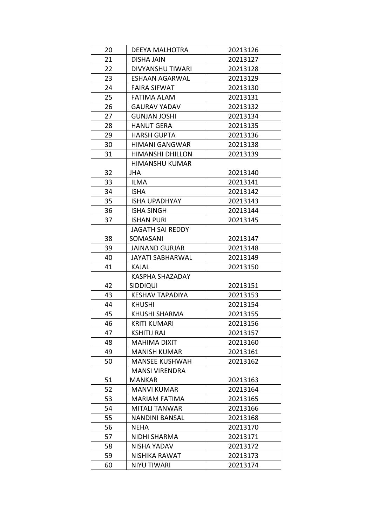| 20 | <b>DEEYA MALHOTRA</b>   | 20213126 |
|----|-------------------------|----------|
| 21 | DISHA JAIN              | 20213127 |
| 22 | <b>DIVYANSHU TIWARI</b> | 20213128 |
| 23 | <b>ESHAAN AGARWAL</b>   | 20213129 |
| 24 | <b>FAIRA SIFWAT</b>     | 20213130 |
| 25 | FATIMA ALAM             | 20213131 |
| 26 | <b>GAURAV YADAV</b>     | 20213132 |
| 27 | GUNJAN JOSHI            | 20213134 |
| 28 | <b>HANUT GERA</b>       | 20213135 |
| 29 | <b>HARSH GUPTA</b>      | 20213136 |
| 30 | <b>HIMANI GANGWAR</b>   | 20213138 |
| 31 | <b>HIMANSHI DHILLON</b> | 20213139 |
|    | <b>HIMANSHU KUMAR</b>   |          |
| 32 | JHA                     | 20213140 |
| 33 | <b>ILMA</b>             | 20213141 |
| 34 | <b>ISHA</b>             | 20213142 |
| 35 | <b>ISHA UPADHYAY</b>    | 20213143 |
| 36 | <b>ISHA SINGH</b>       | 20213144 |
| 37 | ISHAN PURI              | 20213145 |
|    | <b>JAGATH SAI REDDY</b> |          |
| 38 | SOMASANI                | 20213147 |
| 39 | <b>JAINAND GURJAR</b>   | 20213148 |
| 40 | <b>JAYATI SABHARWAL</b> | 20213149 |
| 41 | KAJAL                   | 20213150 |
|    | KASPHA SHAZADAY         |          |
| 42 | <b>SIDDIQUI</b>         | 20213151 |
| 43 | <b>KESHAV TAPADIYA</b>  | 20213153 |
| 44 | <b>KHUSHI</b>           | 20213154 |
| 45 | KHUSHI SHARMA           | 20213155 |
| 46 | KRITI KUMARI            | 20213156 |
| 47 | <b>KSHITIJ RAJ</b>      | 20213157 |
| 48 | MAHIMA DIXIT            | 20213160 |
| 49 | <b>MANISH KUMAR</b>     | 20213161 |
| 50 | <b>MANSEE KUSHWAH</b>   | 20213162 |
|    | <b>MANSI VIRENDRA</b>   |          |
| 51 | <b>MANKAR</b>           | 20213163 |
| 52 | <b>MANVI KUMAR</b>      | 20213164 |
| 53 | <b>MARIAM FATIMA</b>    | 20213165 |
| 54 | <b>MITALI TANWAR</b>    | 20213166 |
| 55 | <b>NANDINI BANSAL</b>   | 20213168 |
| 56 | NEHA                    | 20213170 |
| 57 | NIDHI SHARMA            | 20213171 |
| 58 | NISHA YADAV             | 20213172 |
| 59 | NISHIKA RAWAT           | 20213173 |
|    |                         |          |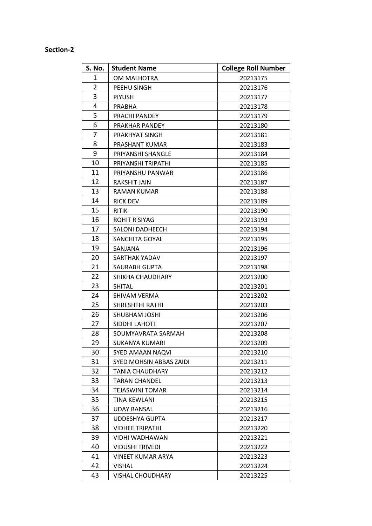#### **Section-2**

| S. No.         | <b>Student Name</b>      | <b>College Roll Number</b> |
|----------------|--------------------------|----------------------------|
| 1              | OM MALHOTRA              | 20213175                   |
| $\overline{2}$ | PEEHU SINGH              | 20213176                   |
| 3              | <b>PIYUSH</b>            | 20213177                   |
| 4              | PRABHA                   | 20213178                   |
| 5              | PRACHI PANDEY            | 20213179                   |
| 6              | PRAKHAR PANDEY           | 20213180                   |
| 7              | PRAKHYAT SINGH           | 20213181                   |
| 8              | PRASHANT KUMAR           | 20213183                   |
| 9              | PRIYANSHI SHANGLE        | 20213184                   |
| 10             | PRIYANSHI TRIPATHI       | 20213185                   |
| 11             | PRIYANSHU PANWAR         | 20213186                   |
| 12             | RAKSHIT JAIN             | 20213187                   |
| 13             | RAMAN KUMAR              | 20213188                   |
| 14             | <b>RICK DEV</b>          | 20213189                   |
| 15             | <b>RITIK</b>             | 20213190                   |
| 16             | <b>ROHIT R SIYAG</b>     | 20213193                   |
| 17             | <b>SALONI DADHEECH</b>   | 20213194                   |
| 18             | SANCHITA GOYAL           | 20213195                   |
| 19             | SANJANA                  | 20213196                   |
| 20             | SARTHAK YADAV            | 20213197                   |
| 21             | SAURABH GUPTA            | 20213198                   |
| 22             | SHIKHA CHAUDHARY         | 20213200                   |
| 23             | <b>SHITAL</b>            | 20213201                   |
| 24             | SHIVAM VERMA             | 20213202                   |
| 25             | <b>SHRESHTHI RATHI</b>   | 20213203                   |
| 26             | <b>SHUBHAM JOSHI</b>     | 20213206                   |
| 27             | SIDDHI LAHOTI            | 20213207                   |
| 28             | SOUMYAVRATA SARMAH       | 20213208                   |
| 29             | SUKANYA KUMARI           | 20213209                   |
| 30             | SYED AMAAN NAQVI         | 20213210                   |
| 31             | SYED MOHSIN ABBAS ZAIDI  | 20213211                   |
| 32             | <b>TANIA CHAUDHARY</b>   | 20213212                   |
| 33             | TARAN CHANDEL            | 20213213                   |
| 34             | <b>TEJASWINI TOMAR</b>   | 20213214                   |
| 35             | TINA KEWLANI             | 20213215                   |
| 36             | <b>UDAY BANSAL</b>       | 20213216                   |
| 37             | <b>UDDESHYA GUPTA</b>    | 20213217                   |
| 38             | <b>VIDHEE TRIPATHI</b>   | 20213220                   |
| 39             | VIDHI WADHAWAN           | 20213221                   |
| 40             | <b>VIDUSHI TRIVEDI</b>   | 20213222                   |
| 41             | <b>VINEET KUMAR ARYA</b> | 20213223                   |
| 42             | <b>VISHAL</b>            | 20213224                   |
| 43             | <b>VISHAL CHOUDHARY</b>  | 20213225                   |